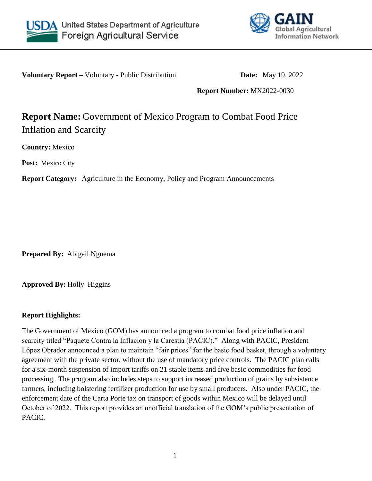



**Voluntary Report** – Voluntary - Public Distribution **Date:** May 19, 2022

**Report Number:** MX2022-0030

# **Report Name:** Government of Mexico Program to Combat Food Price Inflation and Scarcity

**Country:** Mexico

**Post:** Mexico City

**Report Category:** Agriculture in the Economy, Policy and Program Announcements

**Prepared By:** Abigail Nguema

**Approved By:** Holly Higgins

#### **Report Highlights:**

The Government of Mexico (GOM) has announced a program to combat food price inflation and scarcity titled "Paquete Contra la Inflacion y la Carestia (PACIC)." Along with PACIC, President López Obrador announced a plan to maintain "fair prices" for the basic food basket, through a voluntary agreement with the private sector, without the use of mandatory price controls. The PACIC plan calls for a six-month suspension of import tariffs on 21 staple items and five basic commodities for food processing. The program also includes steps to support increased production of grains by subsistence farmers, including bolstering fertilizer production for use by small producers. Also under PACIC, the enforcement date of the Carta Porte tax on transport of goods within Mexico will be delayed until October of 2022. This report provides an unofficial translation of the GOM's public presentation of PACIC.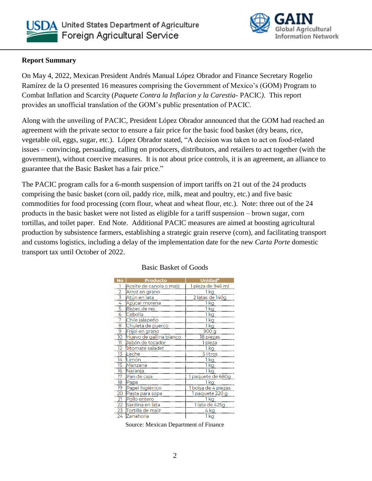



## **Report Summary**

On May 4, 2022, Mexican President Andrés Manual López Obrador and Finance Secretary Rogelio Ramírez de la O presented 16 measures comprising the Government of Mexico's (GOM) Program to Combat Inflation and Scarcity (*Paquete Contra la Inflacion y la Carestia-* PACIC*)*. This report provides an unofficial translation of the GOM's public presentation of PACIC.

Along with the unveiling of PACIC, President López Obrador announced that the GOM had reached an agreement with the private sector to ensure a fair price for the basic food basket (dry beans, rice, vegetable oil, eggs, sugar, etc.). López Obrador stated, "A decision was taken to act on food-related issues – convincing, persuading, calling on producers, distributors, and retailers to act together (with the government), without coercive measures. It is not about price controls, it is an agreement, an alliance to guarantee that the Basic Basket has a fair price."

The PACIC program calls for a 6-month suspension of import tariffs on 21 out of the 24 products comprising the basic basket (corn oil, paddy rice, milk, meat and poultry, etc.) and five basic commodities for food processing (corn flour, wheat and wheat flour, etc.). Note: three out of the 24 products in the basic basket were not listed as eligible for a tariff suspension – brown sugar, corn tortillas, and toilet paper. End Note. Additional PACIC measures are aimed at boosting agricultural production by subsistence farmers, establishing a strategic grain reserve (corn), and facilitating transport and customs logistics, including a delay of the implementation date for the new *Carta Porte* domestic transport tax until October of 2022.

| No             | <b>Producto</b>         | Unidad*             |
|----------------|-------------------------|---------------------|
|                | Aceite de canola o maíz | 1 pieza de 946 ml   |
| $\overline{2}$ | Arroz en grano          | 1 kg                |
| 3              | Atún en lata            | 2 latas de 140g     |
| 4              | Azúcar morena           | 1 kg                |
| 5              | Bistec de res           | 1 kg                |
| 6              | Cebolla                 | 1 kg                |
| 7              | Chile jalapeño          | 1 kg                |
| 8              | Chuleta de puerco       | 1 kg                |
| 9              | Frijol en grano         | 900 g               |
| 10             | Huevo de gallina blanco | 18 piezas           |
| 11             | Jabón de tocador        | 1 pieza             |
| 12             | Jitomate saladet        | 1 kg                |
| 13             | Leche                   | 5 litros            |
| 14             | Limón                   | 1 ka                |
| 15             | Manzana                 | 1 kg                |
| 16             | Naranja                 | 1 kg                |
| 17             | Pan de caja             | 1 paquete de 680g   |
| 18             | Papa                    | 1 kg                |
| 19             | Papel higiénico         | 1 bolsa de 4 piezas |
| 20             | Pasta para sopa         | 1 paquete 220 g     |
| 21             | Pollo entero            | 1 kg                |
| 22             | Sardina en lata         | 1 lata de 425g      |
| 23             | Tortilla de maíz        | 4 kg                |
| 24             | Zanahoria               | 1 kg                |

#### Basic Basket of Goods

Source: Mexican Department of Finance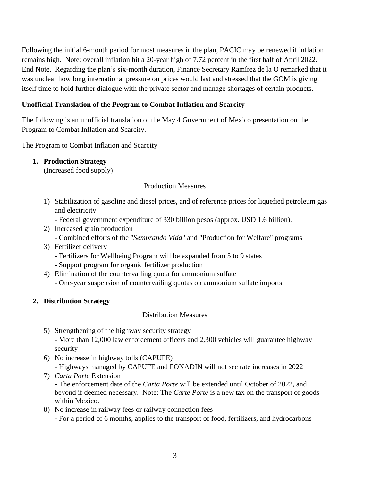Following the initial 6-month period for most measures in the plan, PACIC may be renewed if inflation remains high. Note: overall inflation hit a 20-year high of 7.72 percent in the first half of April 2022. End Note. Regarding the plan's six-month duration, Finance Secretary Ramírez de la O remarked that it was unclear how long international pressure on prices would last and stressed that the GOM is giving itself time to hold further dialogue with the private sector and manage shortages of certain products.

#### **Unofficial Translation of the Program to Combat Inflation and Scarcity**

The following is an unofficial translation of the May 4 Government of Mexico presentation on the Program to Combat Inflation and Scarcity.

The Program to Combat Inflation and Scarcity

# **1. Production Strategy**

(Increased food supply)

## Production Measures

- 1) Stabilization of gasoline and diesel prices, and of reference prices for liquefied petroleum gas and electricity
	- Federal government expenditure of 330 billion pesos (approx. USD 1.6 billion).
- 2) Increased grain production
	- Combined efforts of the "*Sembrando Vida*" and "Production for Welfare" programs
- 3) Fertilizer delivery
	- Fertilizers for Wellbeing Program will be expanded from 5 to 9 states
	- Support program for organic fertilizer production
- 4) Elimination of the countervailing quota for ammonium sulfate - One-year suspension of countervailing quotas on ammonium sulfate imports
- **2. Distribution Strategy**

# Distribution Measures

- 5) Strengthening of the highway security strategy - More than 12,000 law enforcement officers and 2,300 vehicles will guarantee highway security
- 6) No increase in highway tolls (CAPUFE) - Highways managed by CAPUFE and FONADIN will not see rate increases in 2022
- 7) *Carta Porte* Extension - The enforcement date of the *Carta Porte* will be extended until October of 2022, and beyond if deemed necessary. Note: The *Carte Porte* is a new tax on the transport of goods within Mexico.
- 8) No increase in railway fees or railway connection fees - For a period of 6 months, applies to the transport of food, fertilizers, and hydrocarbons